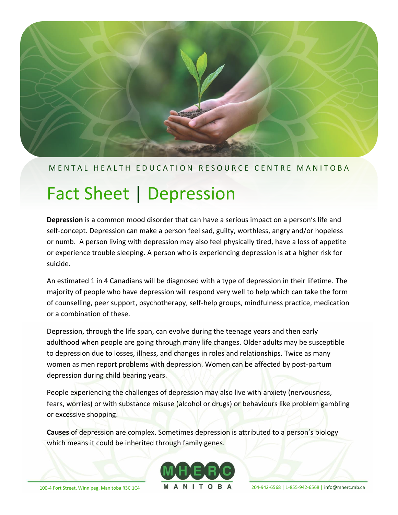

## M E N T A L H E A L T H E D U C A T I O N R E S O U R C E C E N T R EM A N I T O B A

# Fact Sheet | Depression

**Depression** is a common mood disorder that can have a serious impact on a person's life and self-concept. Depression can make a person feel sad, guilty, worthless, angry and/or hopeless or numb. A person living with depression may also feel physically tired, have a loss of appetite or experience trouble sleeping. A person who is experiencing depression is at a higher risk for suicide.

An estimated 1 in 4 Canadians will be diagnosed with a type of depression in their lifetime. The majority of people who have depression will respond very well to help which can take the form of counselling, peer support, psychotherapy, self-help groups, mindfulness practice, medication or a combination of these.

Depression, through the life span, can evolve during the teenage years and then early adulthood when people are going through many life changes. Older adults may be susceptible to depression due to losses, illness, and changes in roles and relationships. Twice as many women as men report problems with depression. Women can be affected by post-partum depression during child bearing years.

People experiencing the challenges of depression may also live with anxiety (nervousness, fears, worries) or with substance misuse (alcohol or drugs) or behaviours like problem gambling or excessive shopping.

**Causes** of depression are complex. Sometimes depression is attributed to a person's biology which means it could be inherited through family genes.



100-4 Fort Street, Winnipeg, Manitoba R3C 1C4 **M A N I T O B A** 204-942-6568 | 1-855-942-6568 | [info@mherc.mb.ca](mailto:info@mherc.mb.ca)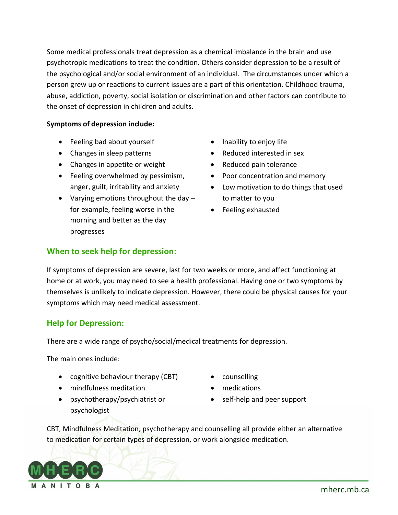Some medical professionals treat depression as a chemical imbalance in the brain and use psychotropic medications to treat the condition. Others consider depression to be a result of the psychological and/or social environment of an individual. The circumstances under which a person grew up or reactions to current issues are a part of this orientation. Childhood trauma, abuse, addiction, poverty, social isolation or discrimination and other factors can contribute to the onset of depression in children and adults.

#### **Symptoms of depression include:**

- Feeling bad about yourself
- Changes in sleep patterns
- Changes in appetite or weight
- Feeling overwhelmed by pessimism, anger, guilt, irritability and anxiety
- Varying emotions throughout the day for example, feeling worse in the morning and better as the day progresses
- Inability to enjoy life
- Reduced interested in sex
- Reduced pain tolerance
- Poor concentration and memory
- Low motivation to do things that used to matter to you
- Feeling exhausted

#### **When to seek help for depression:**

If symptoms of depression are severe, last for two weeks or more, and affect functioning at home or at work, you may need to see a health professional. Having one or two symptoms by themselves is unlikely to indicate depression. However, there could be physical causes for your symptoms which may need medical assessment.

#### **Help for Depression:**

There are a wide range of psycho/social/medical treatments for depression.

The main ones include:

- cognitive behaviour therapy (CBT)
- mindfulness meditation
- psychotherapy/psychiatrist or psychologist
- counselling
- medications
- self-help and peer support

CBT, Mindfulness Meditation, psychotherapy and counselling all provide either an alternative to medication for certain types of depression, or work alongside medication.